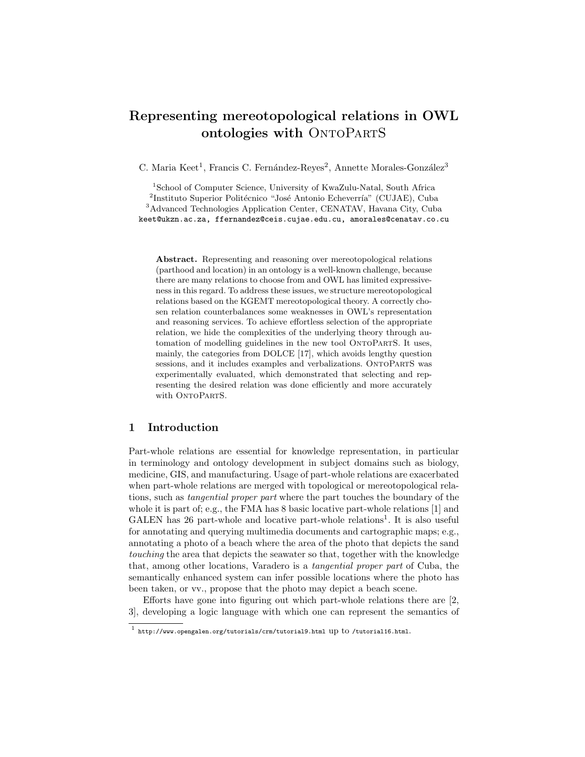# Representing mereotopological relations in OWL ontologies with ONTOPARTS

C. Maria Keet<sup>1</sup>, Francis C. Fernández-Reyes<sup>2</sup>, Annette Morales-González<sup>3</sup>

<sup>1</sup>School of Computer Science, University of KwaZulu-Natal, South Africa <sup>2</sup>Instituto Superior Politécnico "José Antonio Echeverría" (CUJAE), Cuba <sup>3</sup>Advanced Technologies Application Center, CENATAV, Havana City, Cuba keet@ukzn.ac.za, ffernandez@ceis.cujae.edu.cu, amorales@cenatav.co.cu

Abstract. Representing and reasoning over mereotopological relations (parthood and location) in an ontology is a well-known challenge, because there are many relations to choose from and OWL has limited expressiveness in this regard. To address these issues, we structure mereotopological relations based on the KGEMT mereotopological theory. A correctly chosen relation counterbalances some weaknesses in OWL's representation and reasoning services. To achieve effortless selection of the appropriate relation, we hide the complexities of the underlying theory through automation of modelling guidelines in the new tool OntoPartS. It uses, mainly, the categories from DOLCE [17], which avoids lengthy question sessions, and it includes examples and verbalizations. OntoPartS was experimentally evaluated, which demonstrated that selecting and representing the desired relation was done efficiently and more accurately with ONTOPARTS.

# 1 Introduction

Part-whole relations are essential for knowledge representation, in particular in terminology and ontology development in subject domains such as biology, medicine, GIS, and manufacturing. Usage of part-whole relations are exacerbated when part-whole relations are merged with topological or mereotopological relations, such as tangential proper part where the part touches the boundary of the whole it is part of; e.g., the FMA has 8 basic locative part-whole relations [1] and GALEN has 26 part-whole and locative part-whole relations<sup>1</sup>. It is also useful for annotating and querying multimedia documents and cartographic maps; e.g., annotating a photo of a beach where the area of the photo that depicts the sand touching the area that depicts the seawater so that, together with the knowledge that, among other locations, Varadero is a tangential proper part of Cuba, the semantically enhanced system can infer possible locations where the photo has been taken, or vv., propose that the photo may depict a beach scene.

Efforts have gone into figuring out which part-whole relations there are [2, 3], developing a logic language with which one can represent the semantics of

 $^{\rm 1}$ http://www.opengalen.org/tutorials/crm/tutorial9.html up to /tutorial16.html.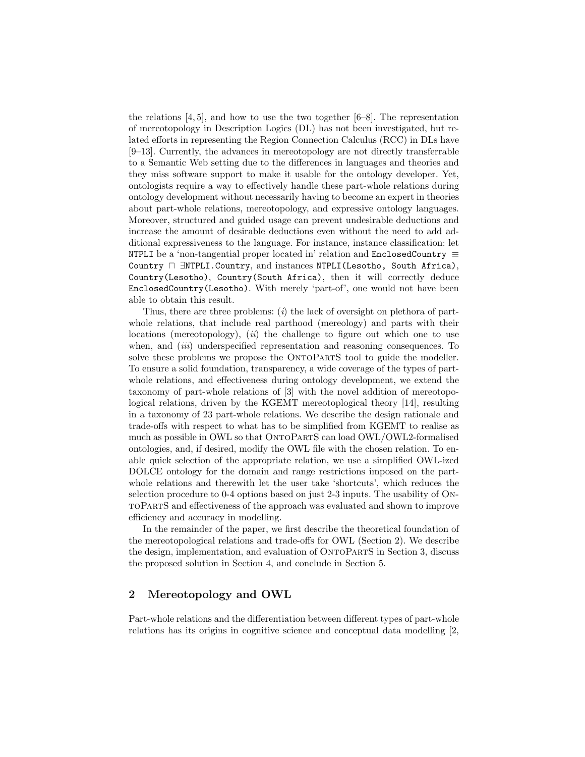the relations  $[4, 5]$ , and how to use the two together  $[6-8]$ . The representation of mereotopology in Description Logics (DL) has not been investigated, but related efforts in representing the Region Connection Calculus (RCC) in DLs have [9–13]. Currently, the advances in mereotopology are not directly transferrable to a Semantic Web setting due to the differences in languages and theories and they miss software support to make it usable for the ontology developer. Yet, ontologists require a way to effectively handle these part-whole relations during ontology development without necessarily having to become an expert in theories about part-whole relations, mereotopology, and expressive ontology languages. Moreover, structured and guided usage can prevent undesirable deductions and increase the amount of desirable deductions even without the need to add additional expressiveness to the language. For instance, instance classification: let NTPLI be a 'non-tangential proper located in' relation and EnclosedCountry  $\equiv$ Country  $\Box$  ∃NTPLI. Country, and instances NTPLI(Lesotho, South Africa), Country(Lesotho), Country(South Africa), then it will correctly deduce EnclosedCountry(Lesotho). With merely 'part-of', one would not have been able to obtain this result.

Thus, there are three problems: (i) the lack of oversight on plethora of partwhole relations, that include real parthood (mereology) and parts with their locations (mereotopology),  $(ii)$  the challenge to figure out which one to use when, and *(iii)* underspecified representation and reasoning consequences. To solve these problems we propose the ONTOPARTS tool to guide the modeller. To ensure a solid foundation, transparency, a wide coverage of the types of partwhole relations, and effectiveness during ontology development, we extend the taxonomy of part-whole relations of [3] with the novel addition of mereotopological relations, driven by the KGEMT mereotoplogical theory [14], resulting in a taxonomy of 23 part-whole relations. We describe the design rationale and trade-offs with respect to what has to be simplified from KGEMT to realise as much as possible in OWL so that OntoPartS can load OWL/OWL2-formalised ontologies, and, if desired, modify the OWL file with the chosen relation. To enable quick selection of the appropriate relation, we use a simplified OWL-ized DOLCE ontology for the domain and range restrictions imposed on the partwhole relations and therewith let the user take 'shortcuts', which reduces the selection procedure to 0-4 options based on just 2-3 inputs. The usability of OntoPartS and effectiveness of the approach was evaluated and shown to improve efficiency and accuracy in modelling.

In the remainder of the paper, we first describe the theoretical foundation of the mereotopological relations and trade-offs for OWL (Section 2). We describe the design, implementation, and evaluation of OntoPartS in Section 3, discuss the proposed solution in Section 4, and conclude in Section 5.

# 2 Mereotopology and OWL

Part-whole relations and the differentiation between different types of part-whole relations has its origins in cognitive science and conceptual data modelling [2,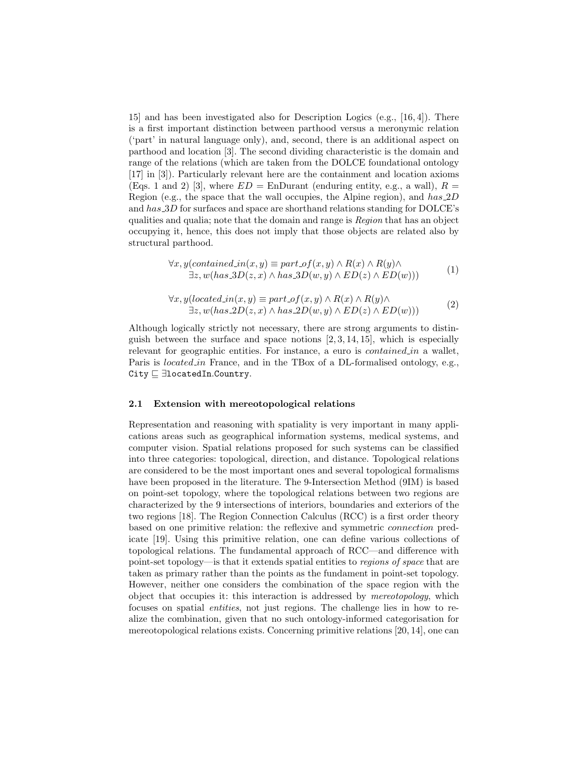15] and has been investigated also for Description Logics (e.g., [16, 4]). There is a first important distinction between parthood versus a meronymic relation ('part' in natural language only), and, second, there is an additional aspect on parthood and location [3]. The second dividing characteristic is the domain and range of the relations (which are taken from the DOLCE foundational ontology [17] in [3]). Particularly relevant here are the containment and location axioms (Eqs. 1 and 2) [3], where  $ED =$  EnDurant (enduring entity, e.g., a wall),  $R =$ Region (e.g., the space that the wall occupies, the Alpine region), and  $has 2D$ and has 3D for surfaces and space are shorthand relations standing for DOLCE's qualities and qualia; note that the domain and range is Region that has an object occupying it, hence, this does not imply that those objects are related also by structural parthood.

$$
\forall x, y (contained.in(x, y) \equiv part\_of(x, y) \land R(x) \land R(y) \land \exists z, w (has .3D(z, x) \land has .3D(w, y) \land ED(z) \land ED(w)))
$$
\n(1)

$$
\forall x, y (located_in(x, y) \equiv part\_of(x, y) \land R(x) \land R(y) \land \exists z, w (has\_2D(z, x) \land has\_2D(w, y) \land ED(z) \land ED(w)))
$$
\n(2)

Although logically strictly not necessary, there are strong arguments to distinguish between the surface and space notions  $[2, 3, 14, 15]$ , which is especially relevant for geographic entities. For instance, a euro is *contained in* a wallet, Paris is *located in* France, and in the TBox of a DL-formalised ontology, e.g.,  $City \sqsubseteq \exists locatedIn.Courtry.$ 

#### 2.1 Extension with mereotopological relations

Representation and reasoning with spatiality is very important in many applications areas such as geographical information systems, medical systems, and computer vision. Spatial relations proposed for such systems can be classified into three categories: topological, direction, and distance. Topological relations are considered to be the most important ones and several topological formalisms have been proposed in the literature. The 9-Intersection Method (9IM) is based on point-set topology, where the topological relations between two regions are characterized by the 9 intersections of interiors, boundaries and exteriors of the two regions [18]. The Region Connection Calculus (RCC) is a first order theory based on one primitive relation: the reflexive and symmetric connection predicate [19]. Using this primitive relation, one can define various collections of topological relations. The fundamental approach of RCC—and difference with point-set topology—is that it extends spatial entities to regions of space that are taken as primary rather than the points as the fundament in point-set topology. However, neither one considers the combination of the space region with the object that occupies it: this interaction is addressed by mereotopology, which focuses on spatial entities, not just regions. The challenge lies in how to realize the combination, given that no such ontology-informed categorisation for mereotopological relations exists. Concerning primitive relations [20, 14], one can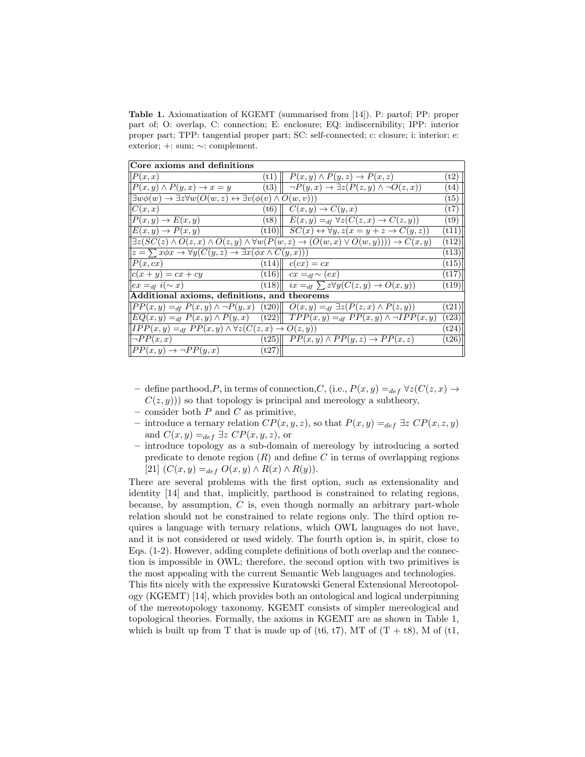Table 1. Axiomatization of KGEMT (summarised from [14]). P: partof; PP: proper part of; O: overlap, C: connection; E: enclosure; EQ: indiscernibility; IPP: interior proper part; TPP: tangential proper part; SC: self-connected; c: closure; i: interior; e: exterior; +: sum; ∼: complement.

| Core axioms and definitions                                                                                     |         |                                                                                                                                  |                  |
|-----------------------------------------------------------------------------------------------------------------|---------|----------------------------------------------------------------------------------------------------------------------------------|------------------|
| P(x, x)                                                                                                         | (t1)    | $P(x, y) \wedge P(y, z) \rightarrow P(x, z)$                                                                                     | (t2)             |
| $P(x, y) \wedge P(y, x) \rightarrow x = y$                                                                      | $(t3)$  | $\neg P(y, x) \rightarrow \exists z (P(z, y) \land \neg O(z, x))$                                                                | (t4)             |
| $\exists w \phi(w) \rightarrow \exists z \forall w (O(w, z) \leftrightarrow \exists v (\phi(v) \land O(w, v)))$ |         |                                                                                                                                  | (t5)             |
| C(x,x)                                                                                                          | (t6)    | $C(x,y) \rightarrow C(y,x)$                                                                                                      | $_{\rm (t7)}$    |
| $P(x, y) \rightarrow E(x, y)$                                                                                   | (t8)    | $E(x, y) =_{df} \forall z (C(z, x) \rightarrow C(z, y))$                                                                         | (t9)             |
| $E(x, y) \rightarrow P(x, y)$                                                                                   | (t10)   | $SC(x) \leftrightarrow \forall y, z(x=y+z \rightarrow C(y,z))$                                                                   | (t11)            |
|                                                                                                                 |         | $\exists z (SC(z) \land O(z, x) \land O(z, y) \land \forall w (P(w, z) \rightarrow (O(w, x) \lor O(w, y)))) \rightarrow C(x, y)$ | $(\mathrm{t}12)$ |
| $z = \sum x \phi x \rightarrow \forall y (C(y, z) \rightarrow \exists x (\phi x \wedge C(y, x)))$               |         |                                                                                                                                  | $(\mathrm{t}13)$ |
| P(x, cx)                                                                                                        | $(t14)$ | $c(cx) = cx$                                                                                                                     | $(\mathrm{t}15)$ |
| $c(x + y) = cx + cy$                                                                                            |         | $(t16)$ $cx =_{df} \sim (ex)$                                                                                                    | $(\mathrm{t}17)$ |
| $ ex =_{df} i(\sim \overline{x})$                                                                               |         | $(t18)$ $\ $ $ix =_{df} \sum z \forall y (C(z, y) \rightarrow O(x, y))$                                                          | (t19)            |
| Additional axioms, definitions, and theorems                                                                    |         |                                                                                                                                  |                  |
|                                                                                                                 |         | $ PP(x,y) =_{df} P(x,y) \wedge \neg P(y,x)$ (t20) $ O(x,y) =_{df} \exists z (P(z,x) \wedge P(z,y))$                              | (t21)            |
|                                                                                                                 |         | $EQ(x, y) =_{df} P(x, y) \wedge P(y, x)$ (t22) $ TPP(x, y) =_{df} PP(x, y) \wedge \neg IPP(x, y)$                                | $(\mathrm{t}23)$ |
| $IPP(x, y) =_{df} PP(x, y) \land \forall z (C(z, x) \rightarrow O(z, y))$                                       |         |                                                                                                                                  | (t24)            |
| $\neg PP(x,x)$                                                                                                  |         | $(t25)$ $\left\  PP(x, y) \wedge PP(y, z) \rightarrow PP(x, z) \right\ $                                                         | (t26)            |
| $PP(x, y) \rightarrow \neg PP(y, x)$                                                                            | (t27)   |                                                                                                                                  |                  |

- define parthood, P, in terms of connection, C, (i.e.,  $P(x, y) =_{def} \forall z (C(z, x) \rightarrow$  $C(z, y)$ ) so that topology is principal and mereology a subtheory,
- consider both  $P$  and  $C$  as primitive,
- introduce a ternary relation  $CP(x, y, z)$ , so that  $P(x, y) =_{def} \exists z \; CP(x, z, y)$ and  $C(x, y) =_{def} \exists z \; CP(x, y, z)$ , or
- introduce topology as a sub-domain of mereology by introducing a sorted predicate to denote region  $(R)$  and define C in terms of overlapping regions [21]  $(C(x, y) =_{def} O(x, y) \wedge R(x) \wedge R(y)).$

There are several problems with the first option, such as extensionality and identity [14] and that, implicitly, parthood is constrained to relating regions, because, by assumption,  $C$  is, even though normally an arbitrary part-whole relation should not be constrained to relate regions only. The third option requires a language with ternary relations, which OWL languages do not have, and it is not considered or used widely. The fourth option is, in spirit, close to Eqs. (1-2). However, adding complete definitions of both overlap and the connection is impossible in OWL; therefore, the second option with two primitives is the most appealing with the current Semantic Web languages and technologies. This fits nicely with the expressive Kuratowski General Extensional Mereotopology (KGEMT) [14], which provides both an ontological and logical underpinning of the mereotopology taxonomy. KGEMT consists of simpler mereological and topological theories. Formally, the axioms in KGEMT are as shown in Table 1, which is built up from T that is made up of (t6, t7), MT of  $(T + t8)$ , M of (t1,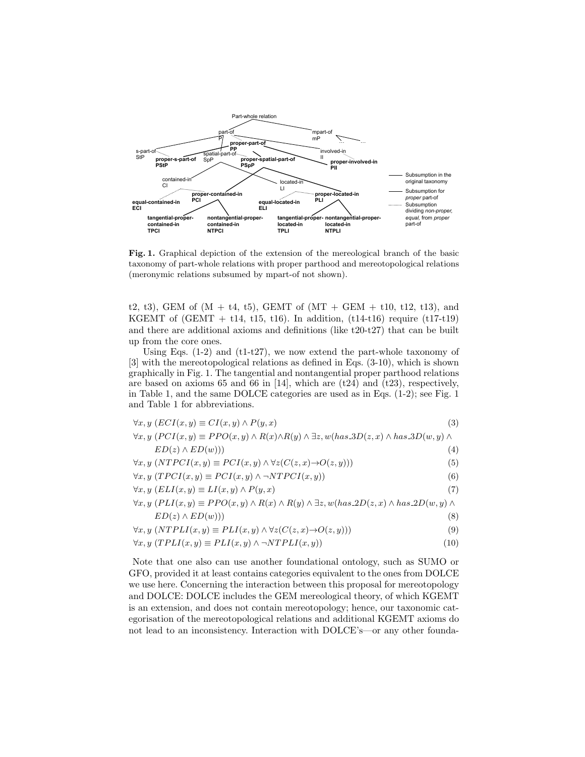

Fig. 1. Graphical depiction of the extension of the mereological branch of the basic taxonomy of part-whole relations with proper parthood and mereotopological relations (meronymic relations subsumed by mpart-of not shown).

t2, t3), GEM of  $(M + t4, t5)$ , GEMT of  $(MT + GEM + t10, t12, t13)$ , and KGEMT of  $(GEMT + t14, t15, t16)$ . In addition,  $(t14-t16)$  require  $(t17-t19)$ and there are additional axioms and definitions (like t20-t27) that can be built up from the core ones.

Using Eqs.  $(1-2)$  and  $(t1-t27)$ , we now extend the part-whole taxonomy of [3] with the mereotopological relations as defined in Eqs. (3-10), which is shown graphically in Fig. 1. The tangential and nontangential proper parthood relations are based on axioms 65 and 66 in  $[14]$ , which are  $(t24)$  and  $(t23)$ , respectively, in Table 1, and the same DOLCE categories are used as in Eqs. (1-2); see Fig. 1 and Table 1 for abbreviations.

$$
\forall x, y \ (ECI(x, y) \equiv CI(x, y) \land P(y, x) \tag{3}
$$

∀x, y (P CI(x, y) ≡ P P O(x, y) ∧ R(x)∧R(y) ∧ ∃z, w(has 3D(z, x) ∧ has 3D(w, y) ∧  $ED(z) \wedge ED(w))$  (4)

- $\forall x, y \ (NTPCI(x, y) \equiv PCI(x, y) \land \forall z (C(z, x) \rightarrow O(z, y)))$  (5)
- $\forall x, y \ (TPCI(x, y) \equiv PCI(x, y) \land \neg NTPCI(x, y))$  (6)
- $\forall x, y \ (ELI(x, y) \equiv LI(x, y) \land P(y, x)$  (7)
- ∀x, y (P LI(x, y) ≡ P P O(x, y) ∧ R(x) ∧ R(y) ∧ ∃z, w(has 2D(z, x) ∧ has 2D(w, y) ∧  $ED(z) \wedge ED(w))$  (8)
- $\forall x, y \ (NTPLI(x, y) \equiv PLI(x, y) \land \forall z (C(z, x) \rightarrow O(z, y)))$ (9)

$$
\forall x, y \ (TPLI(x, y) \equiv PLI(x, y) \land \neg NTPLI(x, y)) \tag{10}
$$

Note that one also can use another foundational ontology, such as SUMO or GFO, provided it at least contains categories equivalent to the ones from DOLCE we use here. Concerning the interaction between this proposal for mereotopology and DOLCE: DOLCE includes the GEM mereological theory, of which KGEMT is an extension, and does not contain mereotopology; hence, our taxonomic categorisation of the mereotopological relations and additional KGEMT axioms do not lead to an inconsistency. Interaction with DOLCE's—or any other founda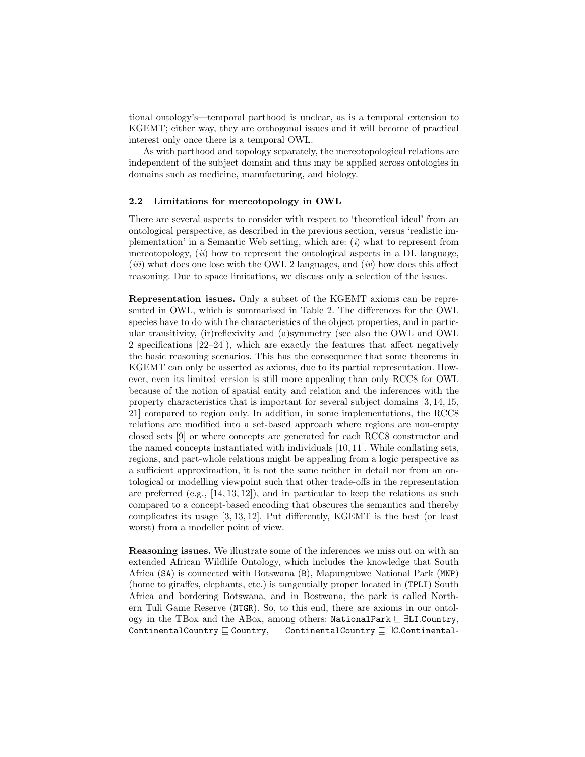tional ontology's—temporal parthood is unclear, as is a temporal extension to KGEMT; either way, they are orthogonal issues and it will become of practical interest only once there is a temporal OWL.

As with parthood and topology separately, the mereotopological relations are independent of the subject domain and thus may be applied across ontologies in domains such as medicine, manufacturing, and biology.

#### 2.2 Limitations for mereotopology in OWL

There are several aspects to consider with respect to 'theoretical ideal' from an ontological perspective, as described in the previous section, versus 'realistic implementation' in a Semantic Web setting, which are:  $(i)$  what to represent from mereotopology,  $(ii)$  how to represent the ontological aspects in a DL language,  $(iii)$  what does one lose with the OWL 2 languages, and  $(iv)$  how does this affect reasoning. Due to space limitations, we discuss only a selection of the issues.

Representation issues. Only a subset of the KGEMT axioms can be represented in OWL, which is summarised in Table 2. The differences for the OWL species have to do with the characteristics of the object properties, and in particular transitivity, (ir)reflexivity and (a)symmetry (see also the OWL and OWL 2 specifications [22–24]), which are exactly the features that affect negatively the basic reasoning scenarios. This has the consequence that some theorems in KGEMT can only be asserted as axioms, due to its partial representation. However, even its limited version is still more appealing than only RCC8 for OWL because of the notion of spatial entity and relation and the inferences with the property characteristics that is important for several subject domains [3, 14, 15, 21] compared to region only. In addition, in some implementations, the RCC8 relations are modified into a set-based approach where regions are non-empty closed sets [9] or where concepts are generated for each RCC8 constructor and the named concepts instantiated with individuals [10, 11]. While conflating sets, regions, and part-whole relations might be appealing from a logic perspective as a sufficient approximation, it is not the same neither in detail nor from an ontological or modelling viewpoint such that other trade-offs in the representation are preferred (e.g., [14, 13, 12]), and in particular to keep the relations as such compared to a concept-based encoding that obscures the semantics and thereby complicates its usage [3, 13, 12]. Put differently, KGEMT is the best (or least worst) from a modeller point of view.

Reasoning issues. We illustrate some of the inferences we miss out on with an extended African Wildlife Ontology, which includes the knowledge that South Africa (SA) is connected with Botswana (B), Mapungubwe National Park (MNP) (home to giraffes, elephants, etc.) is tangentially proper located in (TPLI) South Africa and bordering Botswana, and in Bostwana, the park is called Northern Tuli Game Reserve (NTGR). So, to this end, there are axioms in our ontology in the TBox and the ABox, among others: NationalPark  $\sqsubseteq \exists$ LI.Country, ContinentalCountry  $\sqsubset$  Country, ContinentalCountry  $\sqsubset \exists C$ .Continental-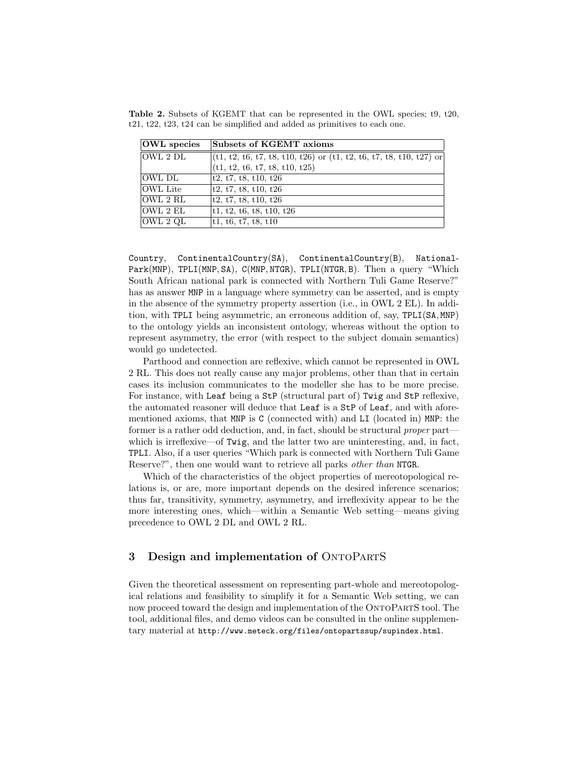Table 2. Subsets of KGEMT that can be represented in the OWL species; t9, t20, t21, t22, t23, t24 can be simplified and added as primitives to each one.

| OWL species                  | Subsets of KGEMT axioms                                                  |
|------------------------------|--------------------------------------------------------------------------|
| $\overline{\text{OWL}}$ 2 DL | $ (t1, t2, t6, t7, t8, t10, t26)$ or $(t1, t2, t6, t7, t8, t10, t27)$ or |
|                              | (t1, t2, t6, t7, t8, t10, t25)                                           |
| IOWL DL                      | $\vert$ t2, t7, t8, t10, t26                                             |
| <b>OWL</b> Lite              | t2, t7, t8, t10, t26                                                     |
| OWL 2 RL                     | $\vert$ t2, t7, t8, t10, t26                                             |
| OWL 2 EL                     | t1, t2, t6, t8, t10, t26                                                 |
| OWL 2 QL                     | t1, t6, t7, t8, t10                                                      |

Country, ContinentalCountry(SA), ContinentalCountry(B), National-Park(MNP), TPLI(MNP, SA), C(MNP, NTGR), TPLI(NTGR, B). Then a query "Which South African national park is connected with Northern Tuli Game Reserve?" has as answer MNP in a language where symmetry can be asserted, and is empty in the absence of the symmetry property assertion (i.e., in OWL 2 EL). In addition, with TPLI being asymmetric, an erroneous addition of, say, TPLI(SA, MNP) to the ontology yields an inconsistent ontology, whereas without the option to represent asymmetry, the error (with respect to the subject domain semantics) would go undetected.

Parthood and connection are reflexive, which cannot be represented in OWL 2 RL. This does not really cause any major problems, other than that in certain cases its inclusion communicates to the modeller she has to be more precise. For instance, with Leaf being a StP (structural part of) Twig and StP reflexive, the automated reasoner will deduce that Leaf is a StP of Leaf, and with aforementioned axioms, that MNP is C (connected with) and LI (located in) MNP: the former is a rather odd deduction, and, in fact, should be structural proper part which is irreflexive—of Twig, and the latter two are uninteresting, and, in fact, TPLI. Also, if a user queries "Which park is connected with Northern Tuli Game Reserve?", then one would want to retrieve all parks *other than* NTGR.

Which of the characteristics of the object properties of mereotopological relations is, or are, more important depends on the desired inference scenarios; thus far, transitivity, symmetry, asymmetry, and irreflexivity appear to be the more interesting ones, which—within a Semantic Web setting—means giving precedence to OWL 2 DL and OWL 2 RL.

# 3 Design and implementation of ONTOPARTS

Given the theoretical assessment on representing part-whole and mereotopological relations and feasibility to simplify it for a Semantic Web setting, we can now proceed toward the design and implementation of the OntoPartS tool. The tool, additional files, and demo videos can be consulted in the online supplementary material at http://www.meteck.org/files/ontopartssup/supindex.html.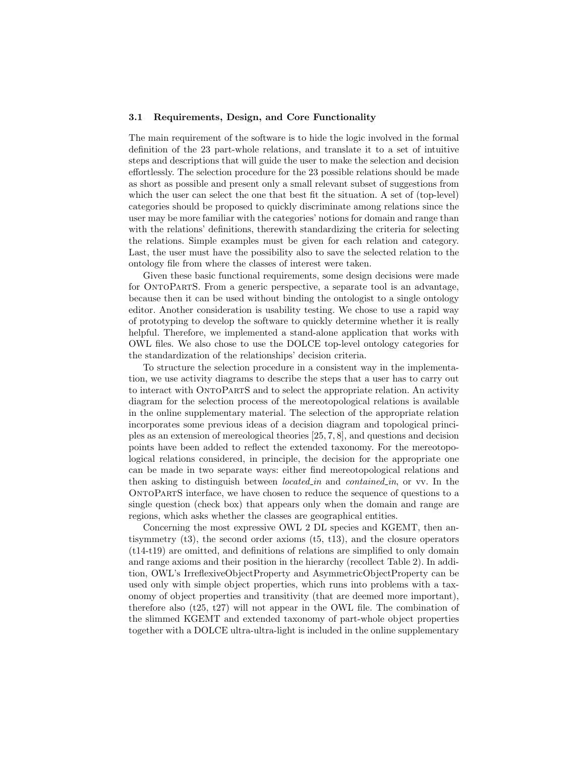#### 3.1 Requirements, Design, and Core Functionality

The main requirement of the software is to hide the logic involved in the formal definition of the 23 part-whole relations, and translate it to a set of intuitive steps and descriptions that will guide the user to make the selection and decision effortlessly. The selection procedure for the 23 possible relations should be made as short as possible and present only a small relevant subset of suggestions from which the user can select the one that best fit the situation. A set of (top-level) categories should be proposed to quickly discriminate among relations since the user may be more familiar with the categories' notions for domain and range than with the relations' definitions, therewith standardizing the criteria for selecting the relations. Simple examples must be given for each relation and category. Last, the user must have the possibility also to save the selected relation to the ontology file from where the classes of interest were taken.

Given these basic functional requirements, some design decisions were made for OntoPartS. From a generic perspective, a separate tool is an advantage, because then it can be used without binding the ontologist to a single ontology editor. Another consideration is usability testing. We chose to use a rapid way of prototyping to develop the software to quickly determine whether it is really helpful. Therefore, we implemented a stand-alone application that works with OWL files. We also chose to use the DOLCE top-level ontology categories for the standardization of the relationships' decision criteria.

To structure the selection procedure in a consistent way in the implementation, we use activity diagrams to describe the steps that a user has to carry out to interact with OntoPartS and to select the appropriate relation. An activity diagram for the selection process of the mereotopological relations is available in the online supplementary material. The selection of the appropriate relation incorporates some previous ideas of a decision diagram and topological principles as an extension of mereological theories [25, 7, 8], and questions and decision points have been added to reflect the extended taxonomy. For the mereotopological relations considered, in principle, the decision for the appropriate one can be made in two separate ways: either find mereotopological relations and then asking to distinguish between *located in* and *contained in*, or vv. In the OntoPartS interface, we have chosen to reduce the sequence of questions to a single question (check box) that appears only when the domain and range are regions, which asks whether the classes are geographical entities.

Concerning the most expressive OWL 2 DL species and KGEMT, then antisymmetry (t3), the second order axioms (t5, t13), and the closure operators (t14-t19) are omitted, and definitions of relations are simplified to only domain and range axioms and their position in the hierarchy (recollect Table 2). In addition, OWL's IrreflexiveObjectProperty and AsymmetricObjectProperty can be used only with simple object properties, which runs into problems with a taxonomy of object properties and transitivity (that are deemed more important), therefore also (t25, t27) will not appear in the OWL file. The combination of the slimmed KGEMT and extended taxonomy of part-whole object properties together with a DOLCE ultra-ultra-light is included in the online supplementary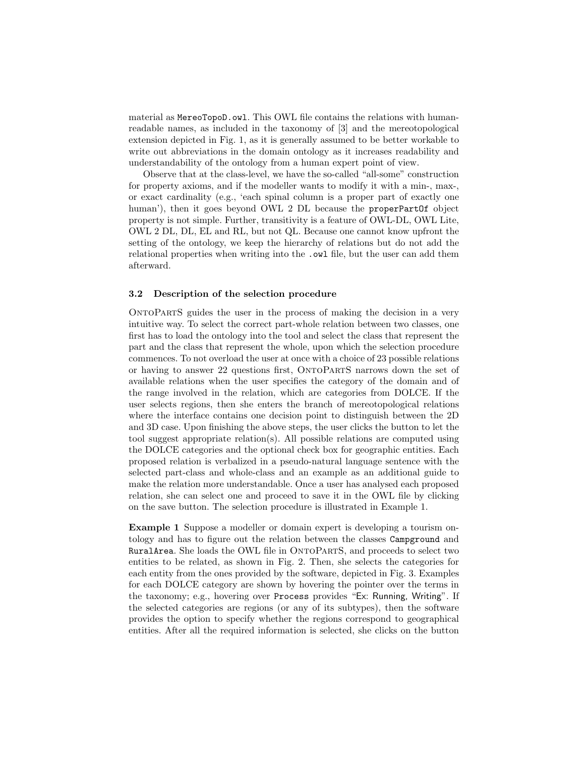material as MereoTopoD.owl. This OWL file contains the relations with humanreadable names, as included in the taxonomy of [3] and the mereotopological extension depicted in Fig. 1, as it is generally assumed to be better workable to write out abbreviations in the domain ontology as it increases readability and understandability of the ontology from a human expert point of view.

Observe that at the class-level, we have the so-called "all-some" construction for property axioms, and if the modeller wants to modify it with a min-, max-, or exact cardinality (e.g., 'each spinal column is a proper part of exactly one human'), then it goes beyond OWL 2 DL because the **properPartOf** object property is not simple. Further, transitivity is a feature of OWL-DL, OWL Lite, OWL 2 DL, DL, EL and RL, but not QL. Because one cannot know upfront the setting of the ontology, we keep the hierarchy of relations but do not add the relational properties when writing into the .owl file, but the user can add them afterward.

#### 3.2 Description of the selection procedure

OntoPartS guides the user in the process of making the decision in a very intuitive way. To select the correct part-whole relation between two classes, one first has to load the ontology into the tool and select the class that represent the part and the class that represent the whole, upon which the selection procedure commences. To not overload the user at once with a choice of 23 possible relations or having to answer 22 questions first, OntoPartS narrows down the set of available relations when the user specifies the category of the domain and of the range involved in the relation, which are categories from DOLCE. If the user selects regions, then she enters the branch of mereotopological relations where the interface contains one decision point to distinguish between the 2D and 3D case. Upon finishing the above steps, the user clicks the button to let the tool suggest appropriate relation(s). All possible relations are computed using the DOLCE categories and the optional check box for geographic entities. Each proposed relation is verbalized in a pseudo-natural language sentence with the selected part-class and whole-class and an example as an additional guide to make the relation more understandable. Once a user has analysed each proposed relation, she can select one and proceed to save it in the OWL file by clicking on the save button. The selection procedure is illustrated in Example 1.

Example 1 Suppose a modeller or domain expert is developing a tourism ontology and has to figure out the relation between the classes Campground and RuralArea. She loads the OWL file in OntoPartS, and proceeds to select two entities to be related, as shown in Fig. 2. Then, she selects the categories for each entity from the ones provided by the software, depicted in Fig. 3. Examples for each DOLCE category are shown by hovering the pointer over the terms in the taxonomy; e.g., hovering over Process provides "Ex: Running, Writing". If the selected categories are regions (or any of its subtypes), then the software provides the option to specify whether the regions correspond to geographical entities. After all the required information is selected, she clicks on the button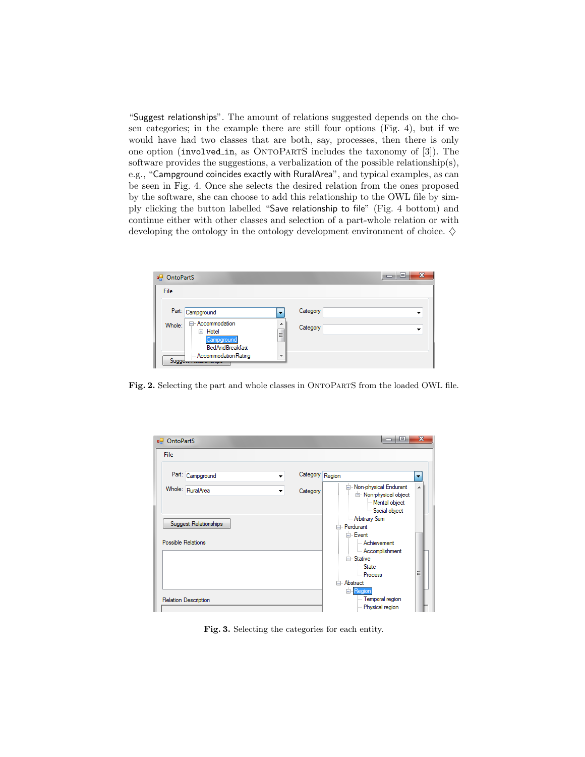"Suggest relationships". The amount of relations suggested depends on the chosen categories; in the example there are still four options (Fig. 4), but if we would have had two classes that are both, say, processes, then there is only one option (involved in, as OntoPartS includes the taxonomy of [3]). The software provides the suggestions, a verbalization of the possible relationship(s), e.g., "Campground coincides exactly with RuralArea", and typical examples, as can be seen in Fig. 4. Once she selects the desired relation from the ones proposed by the software, she can choose to add this relationship to the OWL file by simply clicking the button labelled "Save relationship to file" (Fig. 4 bottom) and continue either with other classes and selection of a part-whole relation or with developing the ontology in the ontology development environment of choice.  $\diamondsuit$ 

| all OntoPartS        |                                                                              |                          |          |  | $\mathbf{x}$<br>e |
|----------------------|------------------------------------------------------------------------------|--------------------------|----------|--|-------------------|
| <b>File</b>          |                                                                              |                          |          |  |                   |
|                      | Part: Campground                                                             |                          | Category |  |                   |
| Whole:               | □ Accommodation<br>由 Hotel<br><b>Campground</b><br><b>Employee Breakfast</b> | ▲<br>Ξ                   | Category |  |                   |
| Sugge <sub>our</sub> | - Accommodation Rating<br><b><i>INSTRUCTION TOOL TOP</i></b>                 | $\overline{\phantom{a}}$ |          |  |                   |

Fig. 2. Selecting the part and whole classes in OntoPartS from the loaded OWL file.

| <b>OntoPartS</b><br>a⊟.      |                 | $\qquad \qquad \blacksquare$                                     | $\mathbf{x}$ |
|------------------------------|-----------------|------------------------------------------------------------------|--------------|
| <b>File</b>                  |                 |                                                                  |              |
| Part: Campground             | Category Region |                                                                  |              |
| Whole: RuralArea<br>▼        | Category        | Mon-physical Endurant<br>in Non-physical object<br>Mental object | ▲            |
| <b>Suggest Relationships</b> |                 | Social object<br>- Arbitrary Sum<br>⊟- Perdurant                 |              |
| Possible Relations           |                 | <b>Event</b><br>- Achievement<br>Accomplishment                  |              |
|                              |                 | <b>⊟</b> Stative<br>└ State<br>Process                           | Ξ            |
| Relation Description         |                 | <b>E</b> Abstract<br>El Region<br>Temporal region                |              |
|                              |                 | - Physical region                                                |              |

Fig. 3. Selecting the categories for each entity.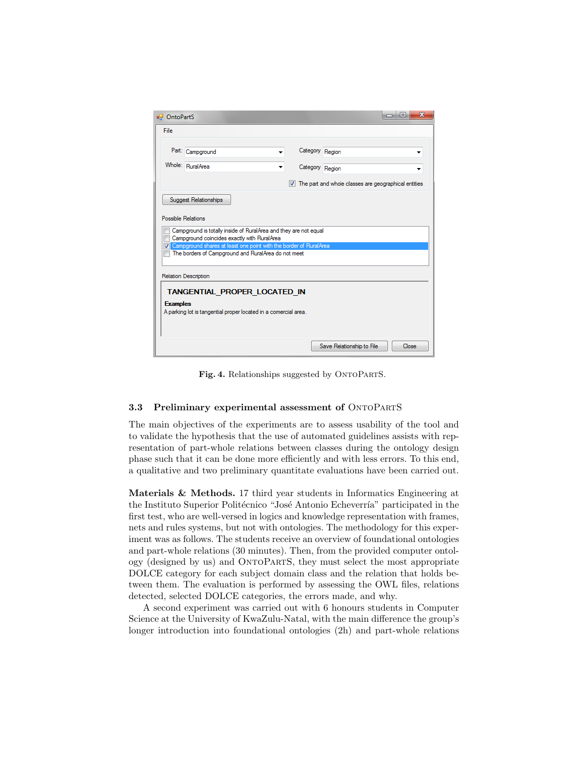| all OntoPartS                                                                                                            |                                                                                                                 |                         |                                                      |  |  |  |
|--------------------------------------------------------------------------------------------------------------------------|-----------------------------------------------------------------------------------------------------------------|-------------------------|------------------------------------------------------|--|--|--|
| File                                                                                                                     |                                                                                                                 |                         |                                                      |  |  |  |
|                                                                                                                          | Part: Campground                                                                                                | Category Region         |                                                      |  |  |  |
|                                                                                                                          | Whole: RuralArea                                                                                                | Category Region         | ▼                                                    |  |  |  |
|                                                                                                                          |                                                                                                                 | $\overline{\mathsf{v}}$ | The part and whole classes are geographical entities |  |  |  |
|                                                                                                                          | <b>Suggest Relationships</b>                                                                                    |                         |                                                      |  |  |  |
| <b>Possible Relations</b>                                                                                                |                                                                                                                 |                         |                                                      |  |  |  |
|                                                                                                                          | Campground is totally inside of RuralArea and they are not equal<br>Campground coincides exactly with RuralArea |                         |                                                      |  |  |  |
| Campground shares at least one point with the border of RuralArea<br>The borders of Campground and RuralArea do not meet |                                                                                                                 |                         |                                                      |  |  |  |
| <b>Relation Description</b>                                                                                              |                                                                                                                 |                         |                                                      |  |  |  |
| TANGENTIAL PROPER LOCATED IN                                                                                             |                                                                                                                 |                         |                                                      |  |  |  |
| <b>Examples</b><br>A parking lot is tangential proper located in a comercial area.                                       |                                                                                                                 |                         |                                                      |  |  |  |
|                                                                                                                          |                                                                                                                 |                         |                                                      |  |  |  |
|                                                                                                                          |                                                                                                                 |                         | Save Relationship to File<br>Close                   |  |  |  |

Fig. 4. Relationships suggested by OntoPartS.

### 3.3 Preliminary experimental assessment of ONTOPARTS

The main objectives of the experiments are to assess usability of the tool and to validate the hypothesis that the use of automated guidelines assists with representation of part-whole relations between classes during the ontology design phase such that it can be done more efficiently and with less errors. To this end, a qualitative and two preliminary quantitate evaluations have been carried out.

Materials & Methods. 17 third year students in Informatics Engineering at the Instituto Superior Politécnico "José Antonio Echeverría" participated in the first test, who are well-versed in logics and knowledge representation with frames, nets and rules systems, but not with ontologies. The methodology for this experiment was as follows. The students receive an overview of foundational ontologies and part-whole relations (30 minutes). Then, from the provided computer ontology (designed by us) and OntoPartS, they must select the most appropriate DOLCE category for each subject domain class and the relation that holds between them. The evaluation is performed by assessing the OWL files, relations detected, selected DOLCE categories, the errors made, and why.

A second experiment was carried out with 6 honours students in Computer Science at the University of KwaZulu-Natal, with the main difference the group's longer introduction into foundational ontologies (2h) and part-whole relations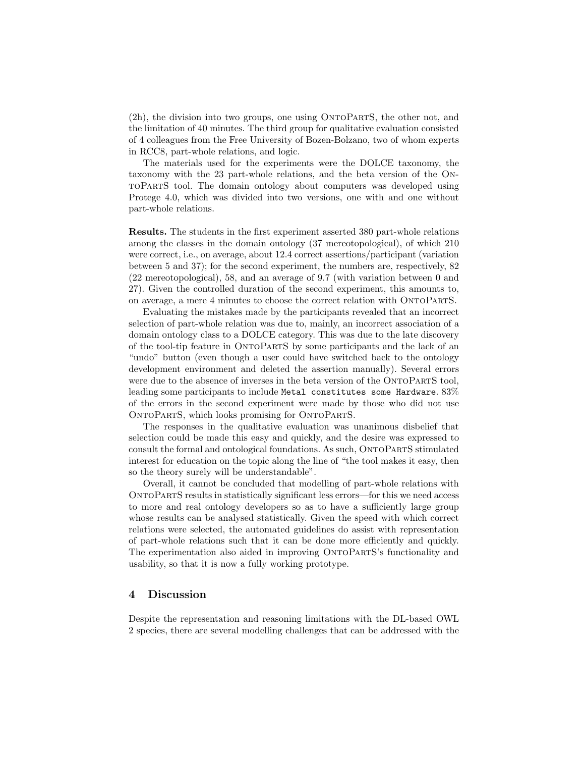(2h), the division into two groups, one using OntoPartS, the other not, and the limitation of 40 minutes. The third group for qualitative evaluation consisted of 4 colleagues from the Free University of Bozen-Bolzano, two of whom experts in RCC8, part-whole relations, and logic.

The materials used for the experiments were the DOLCE taxonomy, the taxonomy with the 23 part-whole relations, and the beta version of the OntoPartS tool. The domain ontology about computers was developed using Protege 4.0, which was divided into two versions, one with and one without part-whole relations.

Results. The students in the first experiment asserted 380 part-whole relations among the classes in the domain ontology (37 mereotopological), of which 210 were correct, i.e., on average, about 12.4 correct assertions/participant (variation between 5 and 37); for the second experiment, the numbers are, respectively, 82 (22 mereotopological), 58, and an average of 9.7 (with variation between 0 and 27). Given the controlled duration of the second experiment, this amounts to, on average, a mere 4 minutes to choose the correct relation with OntoPartS.

Evaluating the mistakes made by the participants revealed that an incorrect selection of part-whole relation was due to, mainly, an incorrect association of a domain ontology class to a DOLCE category. This was due to the late discovery of the tool-tip feature in OntoPartS by some participants and the lack of an "undo" button (even though a user could have switched back to the ontology development environment and deleted the assertion manually). Several errors were due to the absence of inverses in the beta version of the ONTOPARTS tool, leading some participants to include Metal constitutes some Hardware. 83% of the errors in the second experiment were made by those who did not use OntoPartS, which looks promising for OntoPartS.

The responses in the qualitative evaluation was unanimous disbelief that selection could be made this easy and quickly, and the desire was expressed to consult the formal and ontological foundations. As such, OntoPartS stimulated interest for education on the topic along the line of "the tool makes it easy, then so the theory surely will be understandable".

Overall, it cannot be concluded that modelling of part-whole relations with OntoPartS results in statistically significant less errors—for this we need access to more and real ontology developers so as to have a sufficiently large group whose results can be analysed statistically. Given the speed with which correct relations were selected, the automated guidelines do assist with representation of part-whole relations such that it can be done more efficiently and quickly. The experimentation also aided in improving OntoPartS's functionality and usability, so that it is now a fully working prototype.

# 4 Discussion

Despite the representation and reasoning limitations with the DL-based OWL 2 species, there are several modelling challenges that can be addressed with the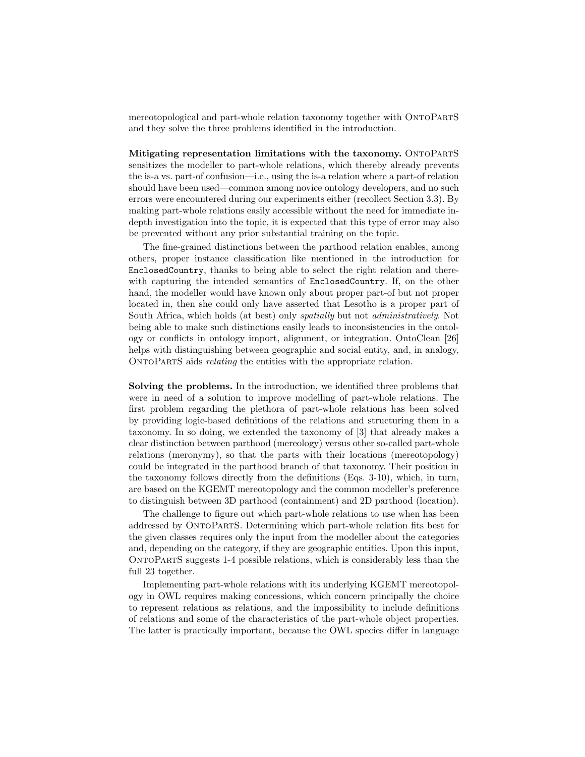mereotopological and part-whole relation taxonomy together with OntoPartS and they solve the three problems identified in the introduction.

Mitigating representation limitations with the taxonomy. OntoPartS sensitizes the modeller to part-whole relations, which thereby already prevents the is-a vs. part-of confusion—i.e., using the is-a relation where a part-of relation should have been used—common among novice ontology developers, and no such errors were encountered during our experiments either (recollect Section 3.3). By making part-whole relations easily accessible without the need for immediate indepth investigation into the topic, it is expected that this type of error may also be prevented without any prior substantial training on the topic.

The fine-grained distinctions between the parthood relation enables, among others, proper instance classification like mentioned in the introduction for EnclosedCountry, thanks to being able to select the right relation and therewith capturing the intended semantics of EnclosedCountry. If, on the other hand, the modeller would have known only about proper part-of but not proper located in, then she could only have asserted that Lesotho is a proper part of South Africa, which holds (at best) only spatially but not administratively. Not being able to make such distinctions easily leads to inconsistencies in the ontology or conflicts in ontology import, alignment, or integration. OntoClean [26] helps with distinguishing between geographic and social entity, and, in analogy, ONTOPARTS aids *relating* the entities with the appropriate relation.

Solving the problems. In the introduction, we identified three problems that were in need of a solution to improve modelling of part-whole relations. The first problem regarding the plethora of part-whole relations has been solved by providing logic-based definitions of the relations and structuring them in a taxonomy. In so doing, we extended the taxonomy of [3] that already makes a clear distinction between parthood (mereology) versus other so-called part-whole relations (meronymy), so that the parts with their locations (mereotopology) could be integrated in the parthood branch of that taxonomy. Their position in the taxonomy follows directly from the definitions (Eqs. 3-10), which, in turn, are based on the KGEMT mereotopology and the common modeller's preference to distinguish between 3D parthood (containment) and 2D parthood (location).

The challenge to figure out which part-whole relations to use when has been addressed by OntoPartS. Determining which part-whole relation fits best for the given classes requires only the input from the modeller about the categories and, depending on the category, if they are geographic entities. Upon this input, OntoPartS suggests 1-4 possible relations, which is considerably less than the full 23 together.

Implementing part-whole relations with its underlying KGEMT mereotopology in OWL requires making concessions, which concern principally the choice to represent relations as relations, and the impossibility to include definitions of relations and some of the characteristics of the part-whole object properties. The latter is practically important, because the OWL species differ in language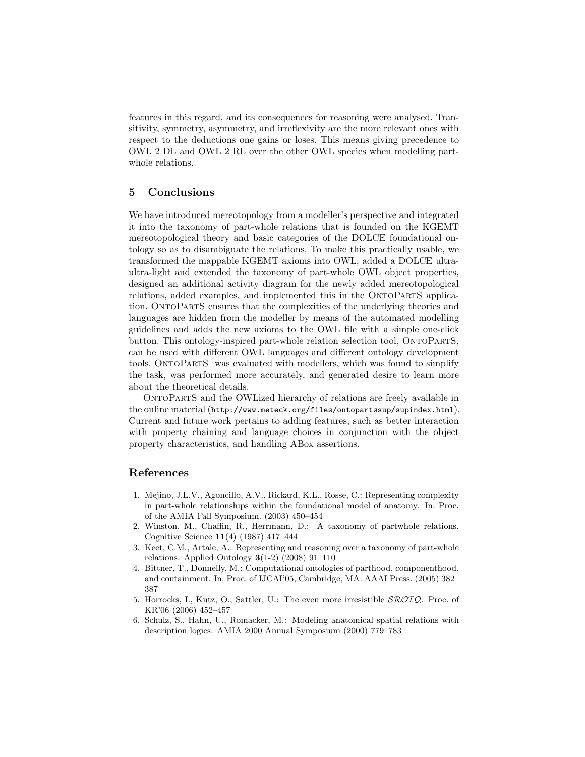features in this regard, and its consequences for reasoning were analysed. Transitivity, symmetry, asymmetry, and irreflexivity are the more relevant ones with respect to the deductions one gains or loses. This means giving precedence to OWL 2 DL and OWL 2 RL over the other OWL species when modelling partwhole relations.

# 5 Conclusions

We have introduced mereotopology from a modeller's perspective and integrated it into the taxonomy of part-whole relations that is founded on the KGEMT mereotopological theory and basic categories of the DOLCE foundational ontology so as to disambiguate the relations. To make this practically usable, we transformed the mappable KGEMT axioms into OWL, added a DOLCE ultraultra-light and extended the taxonomy of part-whole OWL object properties, designed an additional activity diagram for the newly added mereotopological relations, added examples, and implemented this in the OntoPartS application. OntoPartS ensures that the complexities of the underlying theories and languages are hidden from the modeller by means of the automated modelling guidelines and adds the new axioms to the OWL file with a simple one-click button. This ontology-inspired part-whole relation selection tool, OntoPartS, can be used with different OWL languages and different ontology development tools. OntoPartS was evaluated with modellers, which was found to simplify the task, was performed more accurately, and generated desire to learn more about the theoretical details.

OntoPartS and the OWLized hierarchy of relations are freely available in the online material (http://www.meteck.org/files/ontopartssup/supindex.html). Current and future work pertains to adding features, such as better interaction with property chaining and language choices in conjunction with the object property characteristics, and handling ABox assertions.

## References

- 1. Mejino, J.L.V., Agoncillo, A.V., Rickard, K.L., Rosse, C.: Representing complexity in part-whole relationships within the foundational model of anatomy. In: Proc. of the AMIA Fall Symposium. (2003) 450–454
- 2. Winston, M., Chaffin, R., Herrmann, D.: A taxonomy of partwhole relations. Cognitive Science 11(4) (1987) 417–444
- 3. Keet, C.M., Artale, A.: Representing and reasoning over a taxonomy of part-whole relations. Applied Ontology  $3(1-2)$  (2008) 91-110
- 4. Bittner, T., Donnelly, M.: Computational ontologies of parthood, componenthood, and containment. In: Proc. of IJCAI'05, Cambridge, MA: AAAI Press. (2005) 382– 387
- 5. Horrocks, I., Kutz, O., Sattler, U.: The even more irresistible  $\mathcal{SROLQ}$ . Proc. of KR'06 (2006) 452–457
- 6. Schulz, S., Hahn, U., Romacker, M.: Modeling anatomical spatial relations with description logics. AMIA 2000 Annual Symposium (2000) 779–783